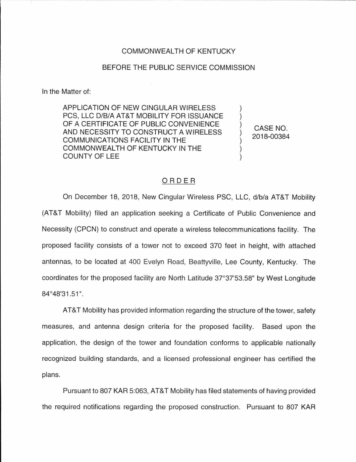## COMMONWEALTH OF KENTUCKY

## BEFORE THE PUBLIC SERVICE COMMISSION

In the Matter of:

APPLICATION OF NEW CINGULAR WIRELESS PCS, LLC D/B/A AT&T MOBILITY FOR ISSUANCE OF A CERTIFICATE OF PUBLIC CONVENIENCE AND NECESSITY TO CONSTRUCT A WIRELESS COMMUNICATIONS FACILITY IN THE COMMONWEALTH OF KENTUCKY IN THE COUNTY OF LEE

CASE NO. 2018-00384

## ORDER

On December 18, 2018, New Cingular Wireless PSC, LLC, d/b/a AT&T Mobility (AT&T Mobility) filed an application seeking a Certificate of Public Convenience and Necessity (CPCN) to construct and operate a wireless telecommunications facility. The proposed facility consists of a tower not to exceed 370 feet in height, with attached antennas, to be located at 400 Evelyn Road, Beattyville, Lee County, Kentucky. The coordinates for the proposed facility are North Latitude 37°37'53.58" by West Longitude 84°48'31.51".

AT&T Mobility has provided information regarding the structure of the tower, safety measures, and antenna design criteria for the proposed facility. Based upon the application, the design of the tower and foundation conforms to applicable nationally recognized building standards, and a licensed professional engineer has certified the plans.

Pursuant to 807 KAR 5:063, AT&T Mobility has filed statements of having provided the required notifications regarding the proposed construction. Pursuant to 807 KAR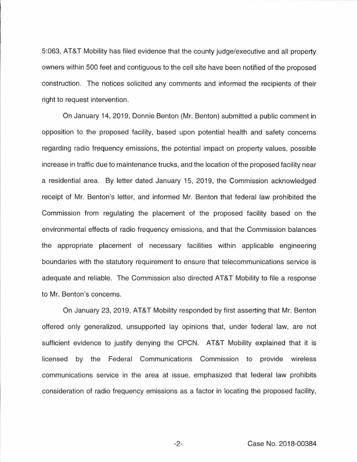5:063, AT&T Mobility has filed evidence that the county judge/executive and all property owners within 500 feet and contiguous to the cell site have been notified of the proposed construction. The notices solicited any comments and informed the recipients of their right to request intervention.

On January 14, 2019, Donnie Benton (Mr. Benton) submitted a public comment in opposition to the proposed facility, based upon potential health and safety concerns regarding radio frequency emissions, the potential impact on property values, possible increase in traffic due to maintenance trucks, and the location of the proposed facility near a residential area. By letter dated January 15, 2019, the Commission acknowledged receipt of Mr. Benton's letter, and informed Mr. Benton that federal law prohibited the Commission from regulating the placement of the proposed facility based on the environmental effects of radio frequency emissions, and that the Commission balances the appropriate placement of necessary facilities within applicable engineering boundaries with the statutory requirement to ensure that telecommunications service is adequate and reliable. The Commission also directed AT&T Mobility to file a response to Mr. Benton's concerns.

On January 23, 2019, AT&T Mobility responded by first asserting that Mr. Benton offered only generalized, unsupported lay opinions that, under federal law, are not sufficient evidence to justify denying the CPCN. AT&T Mobility explained that it is licensed by the Federal Communications Commission to provide wireless communications service in the area at issue, emphasized that federal law prohibits consideration of radio frequency emissions as a factor in locating the proposed facility,

-2- Case No. 2018-00384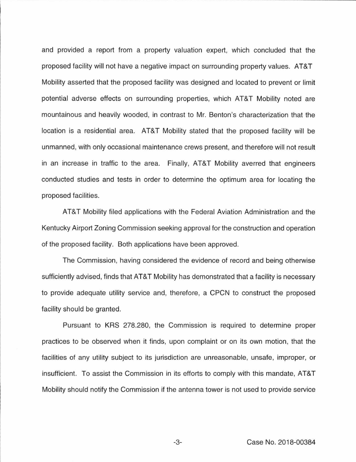and provided a report from a property valuation expert, which concluded that the proposed facility will not have a negative impact on surrounding property values. AT&T Mobility asserted that the proposed facility was designed and located to prevent or limit potential adverse effects on surrounding properties, which AT&T Mobility noted are mountainous and heavily wooded, in contrast to Mr. Benton's characterization that the location is a residential area. AT&T Mobility stated that the proposed facility will be unmanned, with only occasional maintenance crews present, and therefore will not result in an increase in traffic to the area. Finally, AT&T Mobility averred that engineers conducted studies and tests in order to determine the optimum area for locating the proposed facilities.

AT&T Mobility filed applications with the Federal Aviation Administration and the Kentucky Airport Zoning Commission seeking approval for the construction and operation of the proposed facility. Both applications have been approved.

The Commission, having considered the evidence of record and being otherwise sufficiently advised, finds that AT&T Mobility has demonstrated that a facility is necessary to provide adequate utility service and, therefore, a CPCN to construct the proposed facility should be granted.

Pursuant to KRS 278.280, the Commission is required to determine proper practices to be observed when it finds, upon complaint or on its own motion, that the facilities of any utility subject to its jurisdiction are unreasonable, unsafe, improper, or insufficient. To assist the Commission in its efforts to comply with this mandate, AT&T Mobility should notify the Commission if the antenna tower is not used to provide service

-3- Case No. 2018-00384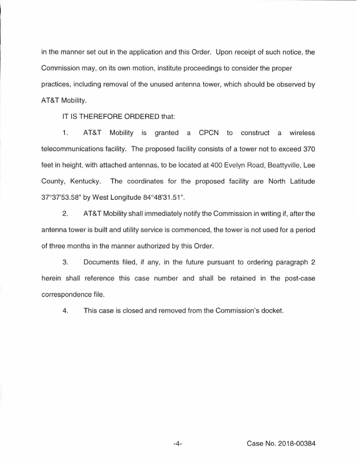in the manner set out in the application and this Order. Upon receipt of such notice, the Commission may, on its own motion, institute proceedings to consider the proper practices, including removal of the unused antenna tower, which should be observed by AT&T Mobility.

IT IS THEREFORE ORDERED that:

1. AT&T Mobility is granted a CPCN to construct a wireless telecommunications facility. The proposed facility consists of a tower not to exceed 370 feet in height, with attached antennas, to be located at 400 Evelyn Road, Beattyville, Lee County, Kentucky. The coordinates for the proposed facility are North Latitude 37°37'53.58" by West Longitude 84°48'31 .51 ".

2. AT&T Mobility shall immediately notify the Commission in writing if, after the antenna tower is built and utility service is commenced, the tower is not used for a period of three months in the manner authorized by this Order.

3. Documents filed, if any, in the future pursuant to ordering paragraph 2 herein shall reference this case number and shall be retained in the post-case correspondence file.

4. This case is closed and removed from the Commission's docket.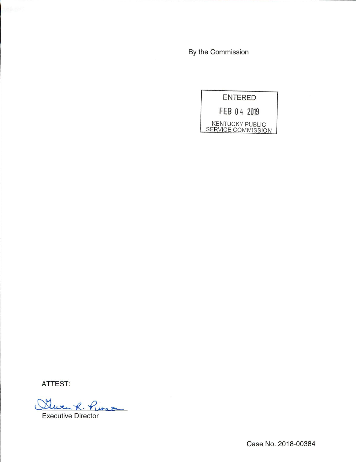By the Commission



ATTEST:

 $-60.4$  $M22$ 

Executive Director

Case No. 2018-00384